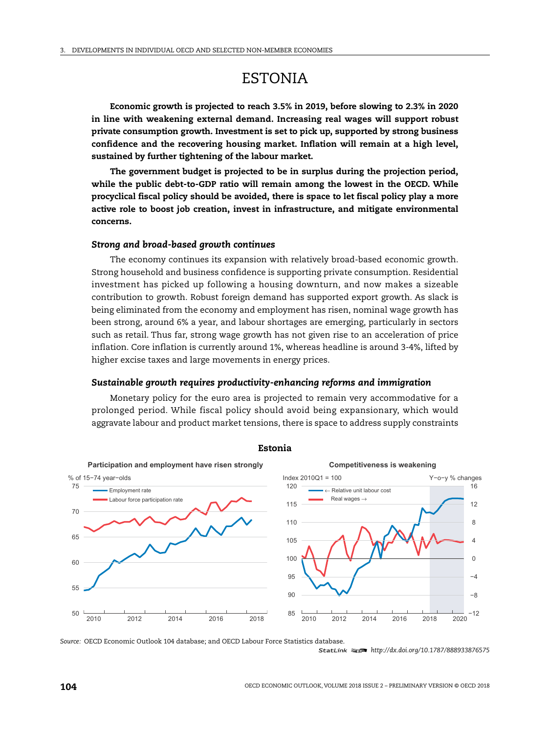# ESTONIA

**Economic growth is projected to reach 3.5% in 2019, before slowing to 2.3% in 2020 in line with weakening external demand. Increasing real wages will support robust private consumption growth. Investment is set to pick up, supported by strong business confidence and the recovering housing market. Inflation will remain at a high level, sustained by further tightening of the labour market.**

**The government budget is projected to be in surplus during the projection period, while the public debt-to-GDP ratio will remain among the lowest in the OECD. While procyclical fiscal policy should be avoided, there is space to let fiscal policy play a more active role to boost job creation, invest in infrastructure, and mitigate environmental concerns.**

## *Strong and broad-based growth continues*

The economy continues its expansion with relatively broad-based economic growth. Strong household and business confidence is supporting private consumption. Residential investment has picked up following a housing downturn, and now makes a sizeable contribution to growth. Robust foreign demand has supported export growth. As slack is being eliminated from the economy and employment has risen, nominal wage growth has been strong, around 6% a year, and labour shortages are emerging, particularly in sectors such as retail. Thus far, strong wage growth has not given rise to an acceleration of price inflation. Core inflation is currently around 1%, whereas headline is around 3-4%, lifted by higher excise taxes and large movements in energy prices.

#### *Sustainable growth requires productivity-enhancing reforms and immigration*

Monetary policy for the euro area is projected to remain very accommodative for a prolonged period. While fiscal policy should avoid being expansionary, which would aggravate labour and product market tensions, there is space to address supply constraints



**Estonia**

*Source:* OECD Economic Outlook 104 database; and OECD Labour Force Statistics database. 1 2 *http://dx.doi.org/10.1787/888933876575*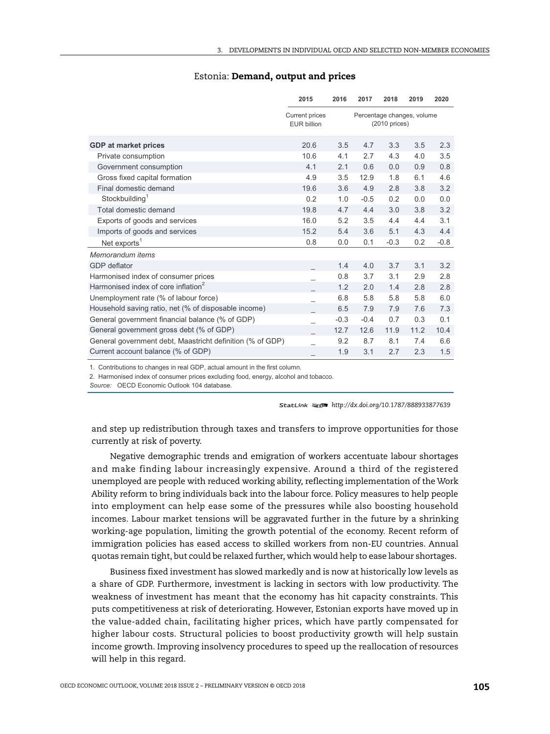|                                                           | 2015                                        | 2016   | 2017                                           | 2018   | 2019 | 2020   |
|-----------------------------------------------------------|---------------------------------------------|--------|------------------------------------------------|--------|------|--------|
|                                                           | <b>Current prices</b><br><b>EUR billion</b> |        | Percentage changes, volume<br>$(2010)$ prices) |        |      |        |
| <b>GDP</b> at market prices                               | 20.6                                        | 3.5    | 4.7                                            | 3.3    | 3.5  | 2.3    |
| Private consumption                                       | 10.6                                        | 4.1    | 2.7                                            | 4.3    | 4.0  | 3.5    |
| Government consumption                                    | 4.1                                         | 2.1    | 0.6                                            | 0.0    | 0.9  | 0.8    |
| Gross fixed capital formation                             | 4.9                                         | 3.5    | 12.9                                           | 1.8    | 6.1  | 4.6    |
| Final domestic demand                                     | 19.6                                        | 3.6    | 4.9                                            | 2.8    | 3.8  | 3.2    |
| Stockbuilding <sup>1</sup>                                | 0.2                                         | 1.0    | $-0.5$                                         | 0.2    | 0.0  | 0.0    |
| Total domestic demand                                     | 19.8                                        | 4.7    | 4.4                                            | 3.0    | 3.8  | 3.2    |
| Exports of goods and services                             | 16.0                                        | 5.2    | 3.5                                            | 4.4    | 4.4  | 3.1    |
| Imports of goods and services                             | 15.2                                        | 5.4    | 3.6                                            | 5.1    | 4.3  | 4.4    |
| Net exports <sup>1</sup>                                  | 0.8                                         | 0.0    | 0.1                                            | $-0.3$ | 0.2  | $-0.8$ |
| Memorandum items                                          |                                             |        |                                                |        |      |        |
| <b>GDP</b> deflator                                       |                                             | 1.4    | 4.0                                            | 3.7    | 3.1  | 3.2    |
| Harmonised index of consumer prices                       |                                             | 0.8    | 3.7                                            | 3.1    | 2.9  | 2.8    |
| Harmonised index of core inflation <sup>2</sup>           |                                             | 1.2    | 2.0                                            | 1.4    | 2.8  | 2.8    |
| Unemployment rate (% of labour force)                     |                                             | 6.8    | 5.8                                            | 5.8    | 5.8  | 6.0    |
| Household saving ratio, net (% of disposable income)      |                                             | 6.5    | 7.9                                            | 7.9    | 7.6  | 7.3    |
| General government financial balance (% of GDP)           |                                             | $-0.3$ | $-0.4$                                         | 0.7    | 0.3  | 0.1    |
| General government gross debt (% of GDP)                  |                                             | 12.7   | 12.6                                           | 11.9   | 11.2 | 10.4   |
| General government debt, Maastricht definition (% of GDP) |                                             | 9.2    | 8.7                                            | 8.1    | 7.4  | 6.6    |
| Current account balance (% of GDP)                        |                                             | 1.9    | 3.1                                            | 2.7    | 2.3  | 1.5    |

## Estonia: **Demand, output and prices**

1. Contributions to changes in real GDP, actual amount in the first column.

2. Harmonised index of consumer prices excluding food, energy, alcohol and tobacco.

Source: OECD Economic Outlook 104 database.

1 2 *http://dx.doi.org/10.1787/888933877639*

and step up redistribution through taxes and transfers to improve opportunities for those currently at risk of poverty.

Negative demographic trends and emigration of workers accentuate labour shortages and make finding labour increasingly expensive. Around a third of the registered unemployed are people with reduced working ability, reflecting implementation of the Work Ability reform to bring individuals back into the labour force. Policy measures to help people into employment can help ease some of the pressures while also boosting household incomes. Labour market tensions will be aggravated further in the future by a shrinking working-age population, limiting the growth potential of the economy. Recent reform of immigration policies has eased access to skilled workers from non-EU countries. Annual quotas remain tight, but could be relaxed further, which would help to ease labour shortages.

Business fixed investment has slowed markedly and is now at historically low levels as a share of GDP. Furthermore, investment is lacking in sectors with low productivity. The weakness of investment has meant that the economy has hit capacity constraints. This puts competitiveness at risk of deteriorating. However, Estonian exports have moved up in the value-added chain, facilitating higher prices, which have partly compensated for higher labour costs. Structural policies to boost productivity growth will help sustain income growth. Improving insolvency procedures to speed up the reallocation of resources will help in this regard.